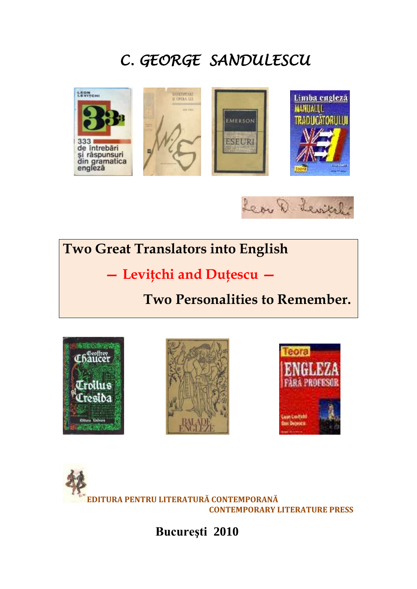# *C. GEORGE SANDULESCU*





# **Two Great Translators into English**

 **— Leviţchi and Duţescu —** 

# **Two Personalities to Remember.**









**Bucureşti 2010**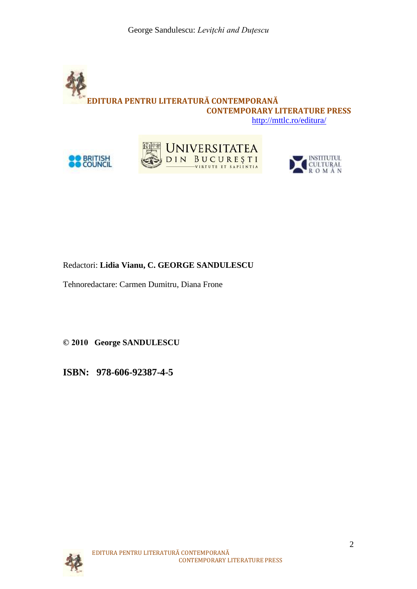







## Redactori: **Lidia Vianu, C. GEORGE SANDULESCU**

Tehnoredactare: Carmen Dumitru, Diana Frone

**© 2010 George SANDULESCU**

**ISBN: 978-606-92387-4-5**

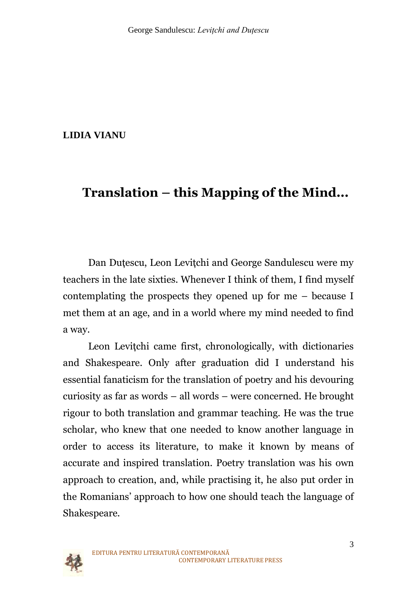## **LIDIA VIANU**

# **Translation – this Mapping of the Mind...**

Dan Dutescu, Leon Levitchi and George Sandulescu were my teachers in the late sixties. Whenever I think of them, I find myself contemplating the prospects they opened up for me – because I met them at an age, and in a world where my mind needed to find a way.

Leon Levitchi came first, chronologically, with dictionaries and Shakespeare. Only after graduation did I understand his essential fanaticism for the translation of poetry and his devouring curiosity as far as words – all words – were concerned. He brought rigour to both translation and grammar teaching. He was the true scholar, who knew that one needed to know another language in order to access its literature, to make it known by means of accurate and inspired translation. Poetry translation was his own approach to creation, and, while practising it, he also put order in the Romanians' approach to how one should teach the language of Shakespeare.

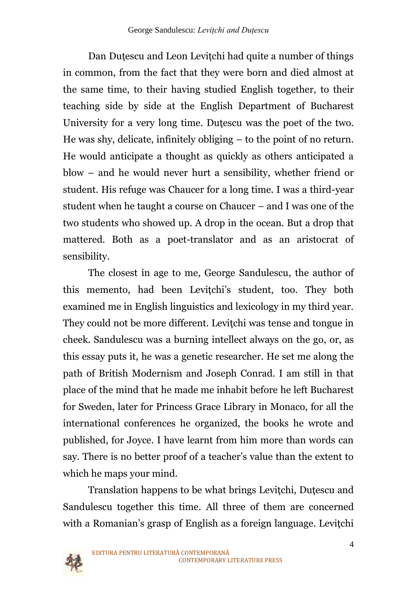Dan Dutescu and Leon Levitchi had quite a number of things in common, from the fact that they were born and died almost at the same time, to their having studied English together, to their teaching side by side at the English Department of Bucharest University for a very long time. Duţescu was the poet of the two. He was shy, delicate, infinitely obliging – to the point of no return. He would anticipate a thought as quickly as others anticipated a blow – and he would never hurt a sensibility, whether friend or student. His refuge was Chaucer for a long time. I was a third-year student when he taught a course on Chaucer – and I was one of the two students who showed up. A drop in the ocean. But a drop that mattered. Both as a poet-translator and as an aristocrat of sensibility.

The closest in age to me, George Sandulescu, the author of this memento, had been Levitchi's student, too. They both examined me in English linguistics and lexicology in my third year. They could not be more different. Leviţchi was tense and tongue in cheek. Sandulescu was a burning intellect always on the go, or, as this essay puts it, he was a genetic researcher. He set me along the path of British Modernism and Joseph Conrad. I am still in that place of the mind that he made me inhabit before he left Bucharest for Sweden, later for Princess Grace Library in Monaco, for all the international conferences he organized, the books he wrote and published, for Joyce. I have learnt from him more than words can say. There is no better proof of a teacher's value than the extent to which he maps your mind.

Translation happens to be what brings Leviţchi, Duţescu and Sandulescu together this time. All three of them are concerned with a Romanian's grasp of English as a foreign language. Levitchi

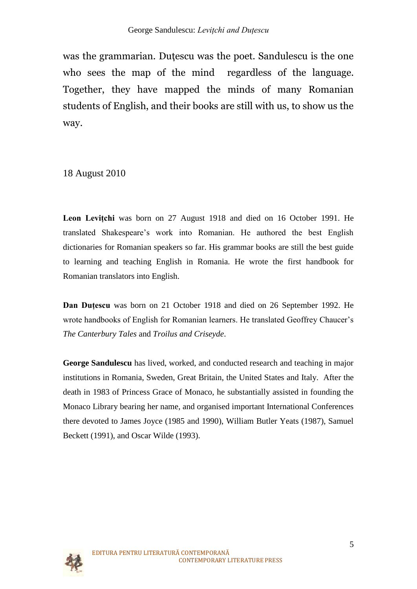was the grammarian. Dutescu was the poet. Sandulescu is the one who sees the map of the mind regardless of the language. Together, they have mapped the minds of many Romanian students of English, and their books are still with us, to show us the way.

18 August 2010

**Leon Leviţchi** was born on [27 August](http://ro.wikipedia.org/wiki/27_august) [1918](http://ro.wikipedia.org/wiki/1918) and died on [16 October](http://ro.wikipedia.org/wiki/16_octombrie) [1991.](http://ro.wikipedia.org/wiki/1991) He translated Shakespeare"s work into Romanian. He authored the best English dictionaries for Romanian speakers so far. His grammar books are still the best guide to learning and teaching English in Romania. He wrote the first handbook for Romanian translators into English.

**Dan Duţescu** was born on [21 October](http://ro.wikipedia.org/wiki/21_octombrie) [1918](http://ro.wikipedia.org/wiki/1918) and died on 26 [September](http://ro.wikipedia.org/wiki/26_septembrie) [1992.](http://ro.wikipedia.org/wiki/1992) He wrote handbooks of English for Romanian learners. He translated Geoffrey Chaucer"s *The Canterbury Tales* and *Troilus and Criseyde*.

**George Sandulescu** has lived, worked, and conducted research and teaching in major institutions in Romania, Sweden, Great Britain, the United States and Italy. After the death in 1983 of Princess Grace of Monaco, he substantially assisted in founding the Monaco Library bearing her name, and organised important International Conferences there devoted to James Joyce (1985 and 1990), William Butler Yeats (1987), Samuel Beckett (1991), and Oscar Wilde (1993).

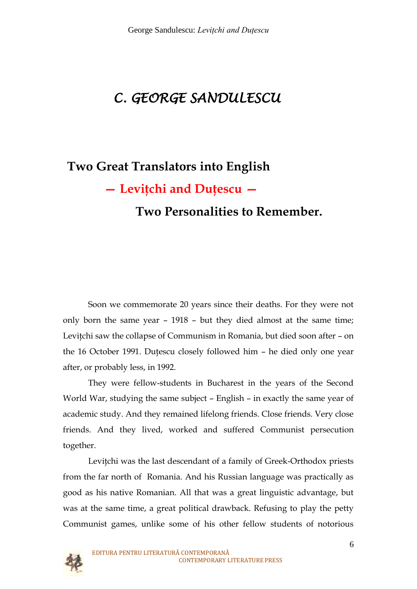# *C. GEORGE SANDULESCU*

# **Two Great Translators into English — Leviţchi and Duţescu —**

# **Two Personalities to Remember.**

Soon we commemorate 20 years since their deaths. For they were not only born the same year – 1918 – but they died almost at the same time; Levitchi saw the collapse of Communism in Romania, but died soon after – on the 16 October 1991. Duţescu closely followed him – he died only one year after, or probably less, in 1992.

They were fellow-students in Bucharest in the years of the Second World War, studying the same subject – English – in exactly the same year of academic study. And they remained lifelong friends. Close friends. Very close friends. And they lived, worked and suffered Communist persecution together.

Leviţchi was the last descendant of a family of Greek-Orthodox priests from the far north of Romania. And his Russian language was practically as good as his native Romanian. All that was a great linguistic advantage, but was at the same time, a great political drawback. Refusing to play the petty Communist games, unlike some of his other fellow students of notorious

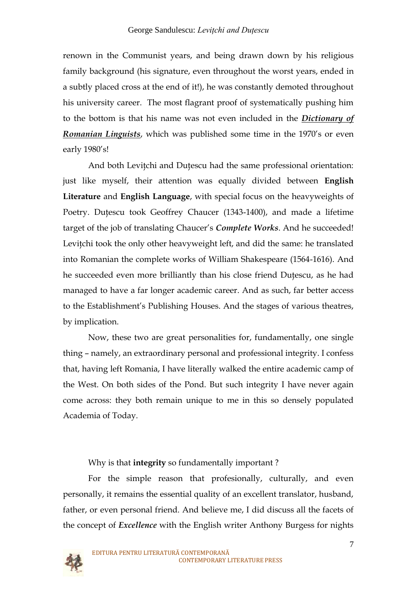renown in the Communist years, and being drawn down by his religious family background (his signature, even throughout the worst years, ended in a subtly placed cross at the end of it!), he was constantly demoted throughout his university career. The most flagrant proof of systematically pushing him to the bottom is that his name was not even included in the *Dictionary of Romanian Linguists*, which was published some time in the 1970's or even early 1980's!

And both Levitchi and Dutescu had the same professional orientation: just like myself, their attention was equally divided between **English Literature** and **English Language**, with special focus on the heavyweights of Poetry. Duţescu took Geoffrey Chaucer (1343-1400), and made a lifetime target of the job of translating Chaucer's *Complete Works*. And he succeeded! Levitchi took the only other heavyweight left, and did the same: he translated into Romanian the complete works of William Shakespeare (1564-1616). And he succeeded even more brilliantly than his close friend Duţescu, as he had managed to have a far longer academic career. And as such, far better access to the Establishment's Publishing Houses. And the stages of various theatres, by implication.

Now, these two are great personalities for, fundamentally, one single thing – namely, an extraordinary personal and professional integrity. I confess that, having left Romania, I have literally walked the entire academic camp of the West. On both sides of the Pond. But such integrity I have never again come across: they both remain unique to me in this so densely populated Academia of Today.

Why is that **integrity** so fundamentally important ?

For the simple reason that profesionally, culturally, and even personally, it remains the essential quality of an excellent translator, husband, father, or even personal friend. And believe me, I did discuss all the facets of the concept of *Excellence* with the English writer Anthony Burgess for nights

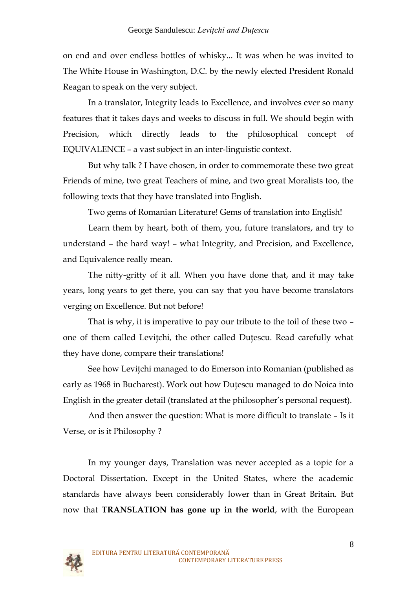on end and over endless bottles of whisky... It was when he was invited to The White House in Washington, D.C. by the newly elected President Ronald Reagan to speak on the very subject.

In a translator, Integrity leads to Excellence, and involves ever so many features that it takes days and weeks to discuss in full. We should begin with Precision, which directly leads to the philosophical concept of EQUIVALENCE – a vast subject in an inter-linguistic context.

But why talk ? I have chosen, in order to commemorate these two great Friends of mine, two great Teachers of mine, and two great Moralists too, the following texts that they have translated into English.

Two gems of Romanian Literature! Gems of translation into English!

Learn them by heart, both of them, you, future translators, and try to understand – the hard way! – what Integrity, and Precision, and Excellence, and Equivalence really mean.

The nitty-gritty of it all. When you have done that, and it may take years, long years to get there, you can say that you have become translators verging on Excellence. But not before!

That is why, it is imperative to pay our tribute to the toil of these two – one of them called Leviţchi, the other called Duţescu. Read carefully what they have done, compare their translations!

See how Leviţchi managed to do Emerson into Romanian (published as early as 1968 in Bucharest). Work out how Duţescu managed to do Noica into English in the greater detail (translated at the philosopher's personal request).

And then answer the question: What is more difficult to translate – Is it Verse, or is it Philosophy ?

In my younger days, Translation was never accepted as a topic for a Doctoral Dissertation. Except in the United States, where the academic standards have always been considerably lower than in Great Britain. But now that **TRANSLATION has gone up in the world**, with the European

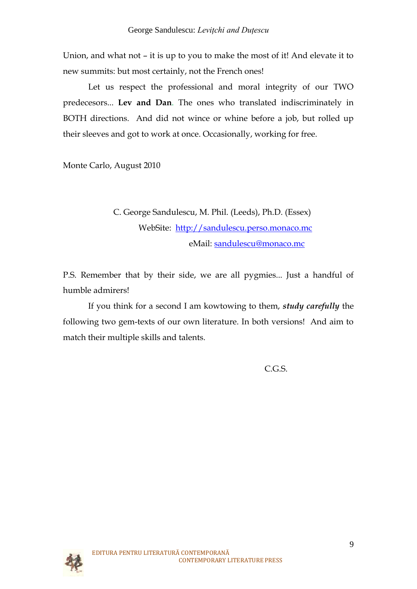Union, and what not – it is up to you to make the most of it! And elevate it to new summits: but most certainly, not the French ones!

Let us respect the professional and moral integrity of our TWO predecesors... **Lev and Dan**. The ones who translated indiscriminately in BOTH directions. And did not wince or whine before a job, but rolled up their sleeves and got to work at once. Occasionally, working for free.

Monte Carlo, August 2010

# C. George Sandulescu, M. Phil. (Leeds), Ph.D. (Essex) WebSite: [http://sandulescu.perso.monaco.mc](http://sandulescu.perso.monaco.mc/) eMail: [sandulescu@monaco.mc](mailto:sandulescu@monaco.mc)

P.S. Remember that by their side, we are all pygmies... Just a handful of humble admirers!

If you think for a second I am kowtowing to them, *study carefully* the following two gem-texts of our own literature. In both versions! And aim to match their multiple skills and talents.

C.G.S.

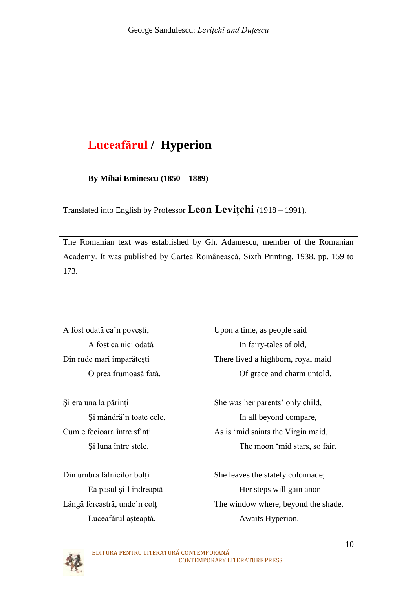# **Luceafărul / Hyperion**

**By Mihai Eminescu (1850 – 1889)**

Translated into English by Professor **Leon Leviţchi** (1918 – 1991).

The Romanian text was established by Gh. Adamescu, member of the Romanian Academy. It was published by Cartea Românească, Sixth Printing. 1938. pp. 159 to 173.

A fost odată ca"n poveşti, Upon a time, as people said

A fost ca nici odată In fairy-tales of old, Din rude mari împărăteşti There lived a highborn, royal maid O prea frumoasă fată. Of grace and charm untold.

Şi era una la părinţi She was her parents" only child, Şi mândră"n toate cele, In all beyond compare, Cum e fecioara între sfinţi As is "mid saints the Virgin maid, Şi luna între stele. The moon "mid stars, so fair.

Din umbra falnicilor bolți She leaves the stately colonnade; Ea pasul şi-l îndreaptă Her steps will gain anon Lângă fereastră, unde"n colţ The window where, beyond the shade, Luceafărul aşteaptă. Awaits Hyperion.

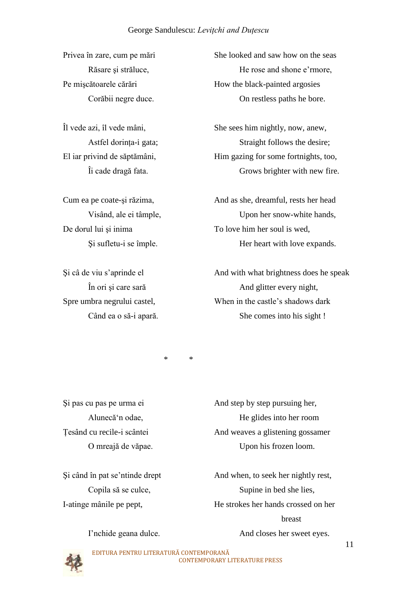De dorul lui si inima To love him her soul is wed,

Privea în zare, cum pe mări She looked and saw how on the seas Răsare și străluce, He rose and shone e <sup>n</sup>more, Pe mișcătoarele cărări How the black-painted argosies Corăbii negre duce. On restless paths he bore.

Îl vede azi, îl vede mâni, She sees him nightly, now, anew, Astfel dorinta-i gata; Straight follows the desire; El iar privind de săptămâni, Him gazing for some fortnights, too, Îi cade dragă fata. Grows brighter with new fire.

Cum ea pe coate-şi răzima, And as she, dreamful, rests her head Visând, ale ei tâmple, Upon her snow-white hands, Şi sufletu-i se împle. Her heart with love expands.

Si câ de viu s'aprinde el And with what brightness does he speak În ori și care sară And glitter every night, Spre umbra negrului castel, When in the castle's shadows dark Când ea o să-i apară. She comes into his sight !

\* \*

Şi pas cu pas pe urma ei And step by step pursuing her, Alunecă"n odae, He glides into her room Ţesând cu recile-i scântei And weaves a glistening gossamer O mreajă de văpae. Upon his frozen loom.

Şi când în pat se"ntinde drept And when, to seek her nightly rest, Copila să se culce, Supine in bed she lies, I-atinge mânile pe pept, He strokes her hands crossed on her **breast** I'nchide geana dulce. And closes her sweet eyes.

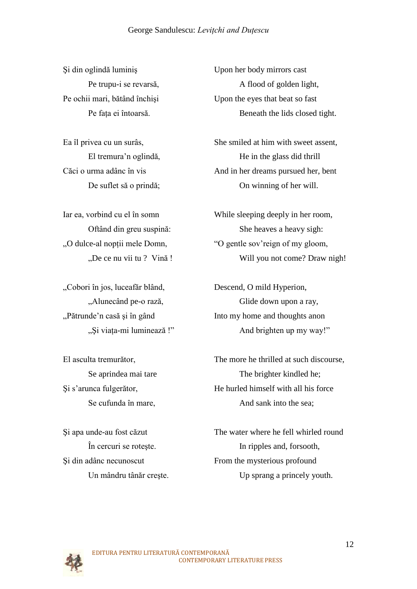Şi din oglindă luminiş Upon her body mirrors cast

"Cobori în jos, luceafăr blând, Descend, O mild Hyperion,

Şi din adânc necunoscut From the mysterious profound

Pe trupu-i se revarsă, A flood of golden light, Pe ochii mari, bătând închişi Upon the eyes that beat so fast Pe faţa ei întoarsă. Beneath the lids closed tight.

Ea îl privea cu un surâs, She smiled at him with sweet assent, El tremura'n oglindă,<br>
He in the glass did thrill Căci o urma adânc în vis And in her dreams pursued her, bent De suflet să o prindă; On winning of her will.

Iar ea, vorbind cu el în somn While sleeping deeply in her room, Oftând din greu suspină: She heaves a heavy sigh: "O gentle sov'reign of my gloom, "O gentle sov'reign of my gloom, "De ce nu vii tu ? Vină ! Will you not come? Draw nigh!

"Alunecând pe-o rază, Glide down upon a ray, ">, Pătrunde'n casă și în gând Into my home and thoughts anon "Şi viaţa-mi luminează !" And brighten up my way!"

El asculta tremurător, The more he thrilled at such discourse, Se aprindea mai tare The brighter kindled he; Şi s"arunca fulgerător, He hurled himself with all his force Se cufunda în mare, And sank into the sea;

Şi apa unde-au fost căzut The water where he fell whirled round În cercuri se roteşte. In ripples and, forsooth, Un mândru tânăr creşte. Up sprang a princely youth.

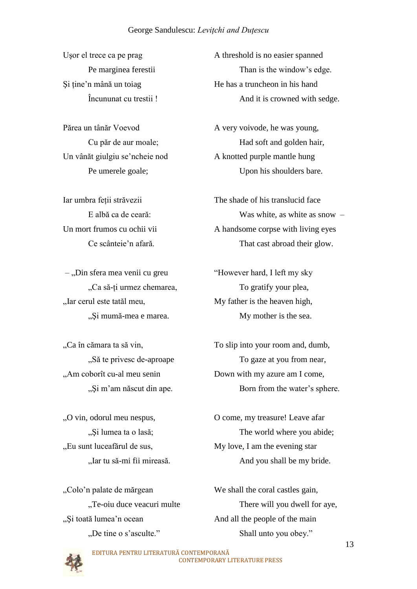– "Din sfera mea venii cu greu "However hard, I left my sky "Iar cerul este tatăl meu, My father is the heaven high,

"Am coborît cu-al meu senin Down with my azure am I come,

"Eu sunt luceafărul de sus, My love, I am the evening star,

", Și toată lumea'n ocean And all the people of the main

Usor el trece ca pe prag A threshold is no easier spanned Pe marginea ferestii Than is the window"s edge. Si tine'n mână un toiag He has a truncheon in his hand Încununat cu trestii ! And it is crowned with sedge.

Părea un tânăr Voevod A very voivode, he was young, Cu păr de aur moale;<br>
Had soft and golden hair, Un vânăt giulgiu se'ncheie nod A knotted purple mantle hung Pe umerele goale; Upon his shoulders bare.

Iar umbra feții străvezii The shade of his translucid face E albă ca de ceară: Was white, as white as snow – Un mort frumos cu ochii vii A handsome corpse with living eyes Ce scânteie"n afară. That cast abroad their glow.

"Ca să-ți urmez chemarea, To gratify your plea, ", Si mumă-mea e marea. My mother is the sea.

"Ca în cămara ta să vin, To slip into your room and, dumb, "Să te privesc de-aproape To gaze at you from near, "
"Și m'am născut din ape. Born from the water's sphere.

"O vin, odorul meu nespus, O come, my treasure! Leave afar ", Si lumea ta o lasă; The world where you abide; "Iar tu să-mi fii mireasă. And you shall be my bride.

"Colo"n palate de mărgean We shall the coral castles gain, "There will you dwell for aye, "There will you dwell for aye," "De tine o s"asculte." Shall unto you obey."

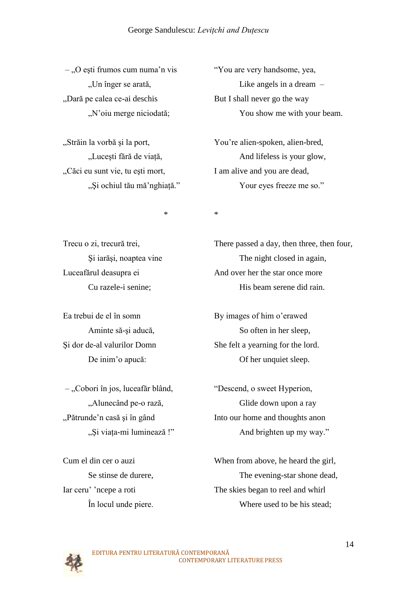– "O eşti frumos cum numa"n vis "You are very handsome, yea, "Dară pe calea ce-ai deschis But I shall never go the way

"Căci eu sunt vie, tu eşti mort, I am alive and you are dead,

"Un înger se arată, Like angels in a dream – "N'oiu merge niciodată;<br>
You show me with your beam.

"Străin la vorbă şi la port, You"re alien-spoken, alien-bred, "Lucești fără de viață, And lifeless is your glow, "Și ochiul tău mă 'nghiață." Your eyes freeze me so."

\* \*

– "Cobori în jos, luceafăr blând, "Descend, o sweet Hyperion,

Trecu o zi, trecură trei, There passed a day, then three, then four, Şi iarăşi, noaptea vine The night closed in again, Luceafărul deasupra ei And over her the star once more Cu razele-i senine; His beam serene did rain.

Ea trebui de el în somn By images of him o'erawed Aminte să-și aducă, So often in her sleep, Şi dor de-al valurilor Domn She felt a yearning for the lord. De inim'o apucă: Of her unquiet sleep.

"Alunecând pe-o rază, Glide down upon a ray "Pătrunde"n casă şi în gând Into our home and thoughts anon "Și viața-mi luminează !" And brighten up my way."

Cum el din cer o auzi When from above, he heard the girl, Se stinse de durere, The evening-star shone dead, Iar ceru" ncepe a roti The skies began to reel and whirl În locul unde piere. Where used to be his stead;

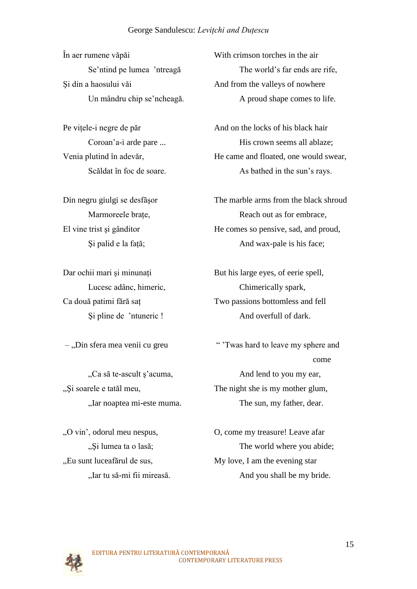În aer rumene văpăi With crimson torches in the air Si din a haosului văi And from the valleys of nowhere

"Si soarele e tatăl meu, The night she is my mother glum,

"Eu sunt luceafărul de sus, My love, I am the evening star,

Se'ntind pe lumea 'ntreagă The world's far ends are rife, Un mândru chip se'ncheagă. A proud shape comes to life.

Pe vitele-i negre de păr And on the locks of his black hair Coroan'a-i arde pare ... <br>His crown seems all ablaze: Venia plutind în adevăr,<br>
He came and floated, one would swear, Scăldat în foc de soare. As bathed in the sun's rays.

Din negru giulgi se desfăşor The marble arms from the black shroud Marmoreele brate, Reach out as for embrace, El vine trist și gânditor He comes so pensive, sad, and proud, Si palid e la față; And wax-pale is his face;

Dar ochii mari şi minunați But his large eyes, of eerie spell, Lucesc adânc, himeric, Chimerically spark, Ca două patimi fără saţ Two passions bottomless and fell Şi pline de "ntuneric ! And overfull of dark.

– "Din sfera mea venii cu greu " "Twas hard to leave my sphere and come "Ca să te-ascult ș' acuma, And lend to you my ear, "Iar noaptea mi-este muma. The sun, my father, dear.

"O vin', odorul meu nespus, O, come my treasure! Leave afar ", Si lumea ta o lasă; The world where you abide; "Iar tu să-mi fii mireasă. And you shall be my bride.

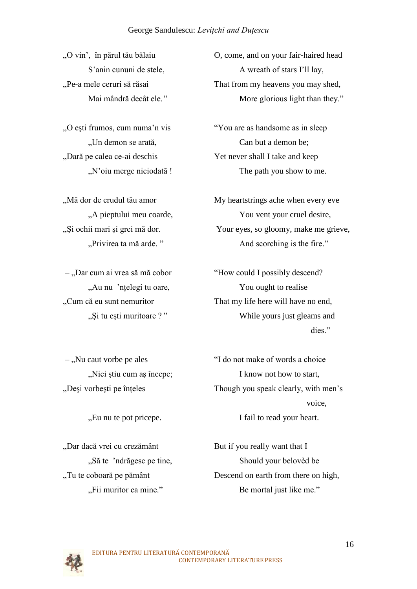"Dară pe calea ce-ai deschis Yet never shall I take and keep

"O vin', în părul tău bălaiu  $\qquad 0$ , come, and on your fair-haired head S'anin cununi de stele, A wreath of stars I'll lay, "Pe-a mele ceruri să răsai That from my heavens you may shed, Mai mândră decât ele." More glorious light than they."

"O eşti frumos, cum numa"n vis "You are as handsome as in sleep "Un demon se arată, Can but a demon be; ", N'oiu merge niciodată ! The path you show to me.

"Mă dor de crudul tău amor My heartstrings ache when every eve "A pieptului meu coarde,  $\frac{1}{2}$  You vent your cruel desire, "Și ochii mari și grei mă dor. Your eyes, so gloomy, make me grieve, "Privirea ta mă arde. " And scorching is the fire."

– "Dar cum ai vrea să mă cobor "How could I possibly descend? "Au nu 'nțelegi tu oare, You ought to realise "Cum că eu sunt nemuritor" That my life here will have no end, "
"Şi tu eşti muritoare ? "
While yours just gleams and dies."

"Dar dacă vrei cu crezământ But if you really want that I

– "Nu caut vorbe pe ales" (I do not make of words a choice" "Nici știu cum aș începe; I know not how to start, "Deşi vorbeşti pe înţeles Though you speak clearly, with men"s voice, "Eu nu te pot pricepe. I fail to read your heart.

"Să te 'ndrăgesc pe tine, Should your belovèd be "Tu te coboară pe pământ Descend on earth from there on high, "Fii muritor ca mine." Be mortal just like me."

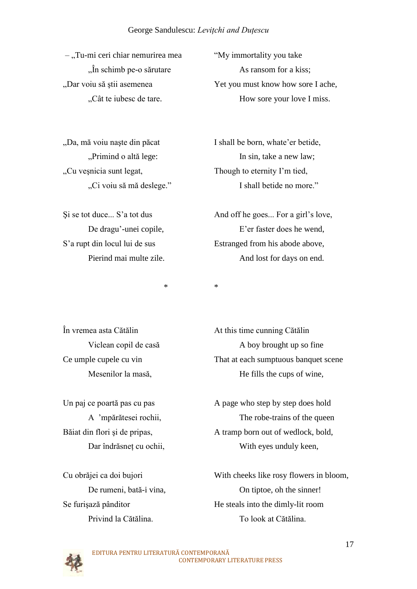$-$ , Tu-mi ceri chiar nemurirea mea "My immortality you take

"Cu veşnicia sunt legat, Though to eternity I'm tied,

 $\hat{a}$  in schimb pe-o sărutare As ransom for a kiss; "Dar voiu să știi asemenea vechii vechii vechii vechii vechii vechii vechii vechii vechii vechii vechii vechii ve "Cât te iubesc de tare. How sore your love I miss.

"Da, mă voiu naște din păcat I shall be born, whate'er betide, "
primind o altă lege: In sin, take a new law; "Ci voiu să mă deslege." I shall betide no more."

Si se tot duce... S'a tot dus And off he goes... For a girl's love, De dragu'-unei copile, E'er faster does he wend, S'a rupt din locul lui de sus Estranged from his abode above, Pierind mai multe zile. And lost for days on end.

\* \*

În vremea asta Cătălin At this time cunning Cătălin Viclean copil de casă A boy brought up so fine Ce umple cupele cu vin That at each sumptuous banquet scene Mesenilor la masă, He fills the cups of wine,

Un paj ce poartă pas cu pas A page who step by step does hold A "mpărătesei rochii, The robe-trains of the queen Băiat din flori și de pripas, A tramp born out of wedlock, bold, Dar îndrăsneț cu ochii, With eyes unduly keen,

Cu obrăjei ca doi bujori With cheeks like rosy flowers in bloom, De rumeni, bată-i vina, On tiptoe, oh the sinner! Se furisază pânditor He steals into the dimly-lit room Privind la Cătălina. To look at Cătălina.

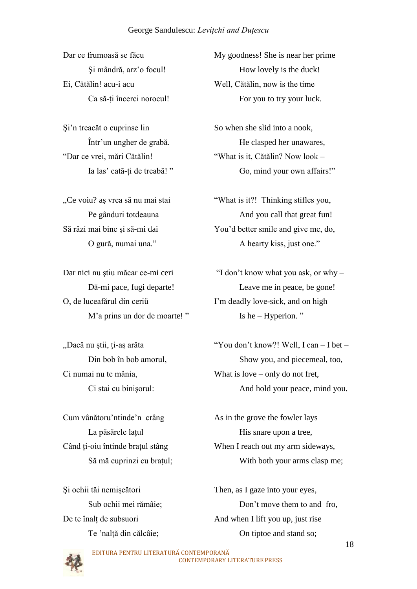Ei, Cătălin! acu-i acu Well, Cătălin, now is the time

O, de luceafărul din ceriu I'm deadly love-sick, and on high M'a prins un dor de moarte!" Is he – Hyperion."

Dar ce frumoasă se făcu My goodness! She is near her prime Şi mândră, arz"o focul! How lovely is the duck! Ca să-ti încerci norocul! For you to try your luck.

Si'n treacăt o cuprinse lin So when she slid into a nook, Într"un ungher de grabă. He clasped her unawares, "Dar ce vrei, mări Cătălin! "What is it, Cătălin? Now look – Ia las' cată-ți de treabă!" Go, mind your own affairs!"

"Ce voiu? aş vrea să nu mai stai "What is it?! Thinking stifles you, Pe gânduri totdeauna And you call that great fun! Să râzi mai bine şi să-mi dai You"d better smile and give me, do, O gură, numai una." A hearty kiss, just one."

Dar nici nu stiu măcar ce-mi ceri "I don't know what you ask, or why – Dă-mi pace, fugi departe! Leave me in peace, be gone!

"Dacă nu ştii, ţi-aş arăta "You don"t know?! Well, I can – I bet – Din bob în bob amorul, Show you, and piecemeal, too, Ci numai nu te mânia, What is love – only do not fret, Ci stai cu binişorul: And hold your peace, mind you.

Cum vânătoru'ntinde'n crâng<br>As in the grove the fowler lays La păsărele lațul His snare upon a tree, Când ți-oiu întinde brațul stâng When I reach out my arm sideways, Să mă cuprinzi cu brațul; With both your arms clasp me;

Şi ochii tăi nemişcători Then, as I gaze into your eyes, Sub ochii mei rămâie;<br>
Don't move them to and fro, De te înalț de subsuori And when I lift you up, just rise Te 'naltă din călcâie; On tiptoe and stand so;

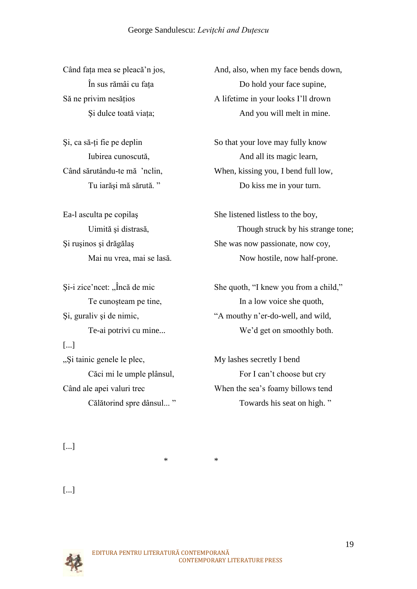[...]

Când fața mea se pleacă'n jos, And, also, when my face bends down, În sus rămâi cu fata Do hold your face supine, Să ne privim nesățios A lifetime in your looks I'll drown Şi dulce toată viaţa; And you will melt in mine.

Si, ca să-ti fie pe deplin So that your love may fully know Iubirea cunoscută,  $\blacksquare$  And all its magic learn, Când sărutându-te mă "nclin, When, kissing you, I bend full low, Tu iarăşi mă sărută. " Do kiss me in your turn.

Ea-l asculta pe copilas She listened listless to the boy, Uimită și distrasă, Though struck by his strange tone; Şi ruşinos şi drăgălaş She was now passionate, now coy, Mai nu vrea, mai se lasă. Now hostile, now half-prone.

Si-i zice'ncet: "Încă de mic She quoth, "I knew you from a child," Te cunosteam pe tine, In a low voice she quoth, Şi, guraliv şi de nimic, "A mouthy n"er-do-well, and wild, Te-ai potrivi cu mine... We"d get on smoothly both.

", Si tainic genele le plec, My lashes secretly I bend Căci mi le umple plânsul, For I can't choose but cry Când ale apei valuri trec When the sea"s foamy billows tend Călătorind spre dânsul... " Towards his seat on high. "

[...]

[...]



\* \*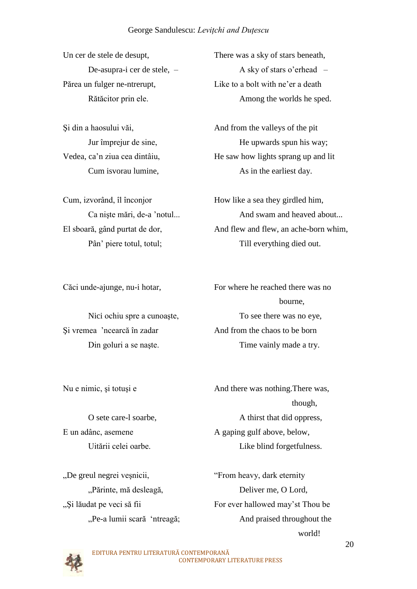Părea un fulger ne-ntrerupt,<br>Like to a bolt with ne'er a death

Cum, izvorând, îl înconjor How like a sea they girdled him,

Şi vremea "ncearcă în zadar And from the chaos to be born

Un cer de stele de desupt, There was a sky of stars beneath, De-asupra-i cer de stele, – A sky of stars o"erhead – Rătăcitor prin ele. Among the worlds he sped.

Şi din a haosului văi, And from the valleys of the pit Jur împrejur de sine, He upwards spun his way; Vedea, ca'n ziua cea dintâiu,<br>He saw how lights sprang up and lit Cum isvorau lumine, As in the earliest day.

Ca niște mări, de-a 'notul... And swam and heaved about... El sboară, gând purtat de dor,<br>And flew and flew, an ache-born whim, Pân' piere totul, totul; Till everything died out.

Căci unde-ajunge, nu-i hotar, For where he reached there was no bourne, Nici ochiu spre a cunoaște, To see there was no eye, Din goluri a se naște. Time vainly made a try.

Nu e nimic, și totuși e And there was nothing. There was,

though, though, though, though, though, though, though, though, though, though, though, the state of  $\sim$ O sete care-l soarbe, A thirst that did oppress, E un adânc, asemene A gaping gulf above, below, Uitării celei oarbe. Like blind forgetfulness.

", Și lăudat pe veci să fii For ever hallowed may'st Thou be

"De greul negrei veşnicii, "From heavy, dark eternity "Părinte, mă desleagă, Deliver me, O Lord, "Pe-a lumii scară 'ntreagă; And praised throughout the world!

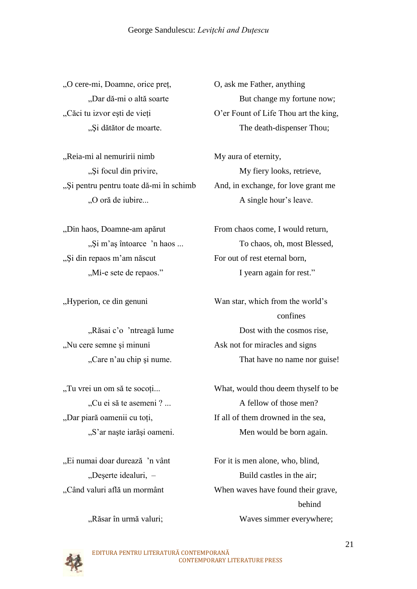"O cere-mi, Doamne, orice preţ, O, ask me Father, anything

"Reia-mi al nemuririi nimb My aura of eternity, "Si pentru pentru toate dă-mi în schimb" And, in exchange, for love grant me "O oră de iubire... A single hour's leave.

"Și din repaos m'am născut For out of rest eternal born,

"Nu cere semne şi minuni Ask not for miracles and signs

"Ei numai doar durează 'n vânt For it is men alone, who, blind,

"Dar dă-mi o altă soarte But change my fortune now; "Căci tu izvor eşti de vieţi O"er Fount of Life Thou art the king, "Și dătător de moarte. The death-dispenser Thou;

", Si focul din privire, My fiery looks, retrieve,

"Din haos, Doamne-am apărut From chaos come, I would return, "Și m'aș întoarce 'n haos ... To chaos, oh, most Blessed, ", Mi-e sete de repaos." I yearn again for rest."

"Hyperion, ce din genuni Wan star, which from the world"s confines "Răsai c'o 'ntreagă lume Dost with the cosmos rise, "Care n'au chip și nume. That have no name nor guise!

"Tu vrei un om să te socoti..." What, would thou deem thyself to be "Cu ei să te asemeni ? ... A fellow of those men? "Dar piară oamenii cu toți, If all of them drowned in the sea, "S'ar naște iarăși oameni. Men would be born again.

"Deşerte idealuri, – Build castles in the air; "Când valuri află un mormânt When waves have found their grave, behind "Răsar în urmă valuri; Waves simmer everywhere;

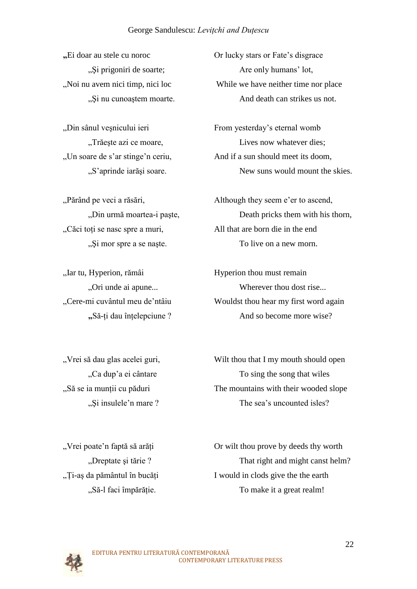"Şi nu cunoaştem moarte. And death can strikes us not.

"Căci toţi se nasc spre a muri, All that are born die in the end

"Iar tu, Hyperion, rămâi Hyperion thou must remain

**"**Ei doar au stele cu noroc Or lucky stars or Fate's disgrace "Si prigoniri de soarte; Are only humans' lot, "Noi nu avem nici timp, nici loc While we have neither time nor place

"Din sânul veșnicului ieri From yesterday's eternal womb "Trăește azi ce moare, "Lives now whatever dies;" "Un soare de s'ar stinge'n ceriu, And if a sun should meet its doom, "S'aprinde iarăși soare. New suns would mount the skies.

"Părând pe veci a răsări, Although they seem e'er to ascend, "Din urmă moartea-i paște, Death pricks them with his thorn, "
"Şi mor spre a se naște. To live on a new morn.

"Ori unde ai apune... Wherever thou dost rise... "Cere-mi cuvântul meu de"ntâiu Wouldst thou hear my first word again **"**Să-ţi dau înţelepciune ? And so become more wise?

", Vrei să dau glas acelei guri, Wilt thou that I my mouth should open "Ca dup'a ei cântare To sing the song that wiles "Să se ia munţii cu păduri The mountains with their wooded slope "Si insulele'n mare ? The sea's uncounted isles.

"Vrei poate"n faptă să arăţi Or wilt thou prove by deeds thy worth "Dreptate şi tărie ? That right and might canst helm? "Ţi-aş da pământul în bucăţi I would in clods give the the earth "Să-l faci împărăție. To make it a great realm!

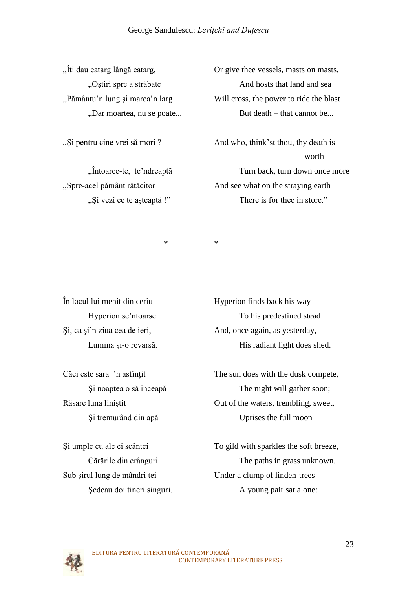$\hat{J}$ ti dau catarg lângă catarg,  $\hat{O}$ r give thee vessels, masts on masts, "Ostiri spre a străbate And hosts that land and sea ">, Pământu'n lung și marea'n larg Will cross, the power to ride the blast "Dar moartea, nu se poate... But death – that cannot be...

"Si pentru cine vrei să mori ? And who, think'st thou, thy death is worth worth the contract of the state of the state of the state of the state of the state of the state of the state of the state of the state of the state of the state of the state of the state of the state of the state of "Întoarce-te, te"ndreaptă Turn back, turn down once more "Spre-acel pământ rătăcitor And see what on the straying earth "Şi vezi ce te aşteaptă !" There is for thee in store."

\* \*

În locul lui menit din ceriu Hyperion finds back his way

Sub şirul lung de mândri tei Under a clump of linden-trees

Hyperion se'ntoarse To his predestined stead Şi, ca şi"n ziua cea de ieri, And, once again, as yesterday, Lumina și-o revarsă. His radiant light does shed.

Căci este sara 'n asfințit The sun does with the dusk compete, Şi noaptea o să înceapă The night will gather soon; Răsare luna liniştit Out of the waters, trembling, sweet, Şi tremurând din apă Uprises the full moon

Şi umple cu ale ei scântei To gild with sparkles the soft breeze, Cărările din crânguri The paths in grass unknown. Sedeau doi tineri singuri. A young pair sat alone:

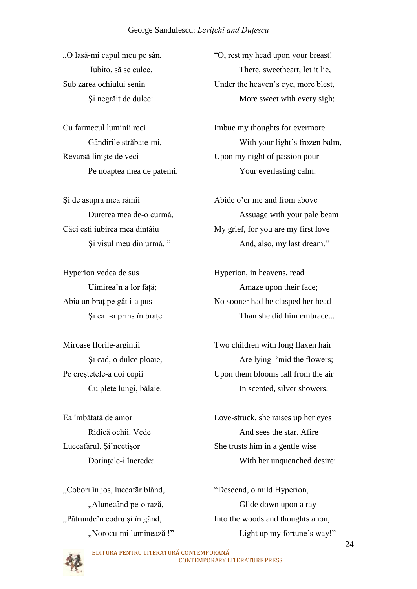Revarsă linişte de veci Upon my night of passion pour

Şi de asupra mea rămîi Abide o"er me and from above

"Cobori în jos, luceafăr blând, "Descend, o mild Hyperion,

"O lasă-mi capul meu pe sân, "O, rest my head upon your breast! Iubito, să se culce, There, sweetheart, let it lie, Sub zarea ochiului senin Under the heaven"s eye, more blest, Si negrăit de dulce: More sweet with every sigh;

Cu farmecul luminii reci Imbue my thoughts for evermore Gândirile străbate-mi, With your light's frozen balm, Pe noaptea mea de patemi. Your everlasting calm.

Durerea mea de-o curmă, Assuage with your pale beam Căci eşti iubirea mea dintâiu My grief, for you are my first love Şi visul meu din urmă. " And, also, my last dream."

Hyperion vedea de sus Hyperion, in heavens, read Uimirea'n a lor față; Amaze upon their face; Abia un brat pe gât i-a pus No sooner had he clasped her head Şi ea l-a prins în braţe. Than she did him embrace...

Miroase florile-argintii Two children with long flaxen hair Şi cad, o dulce ploaie, Are lying "mid the flowers; Pe creştetele-a doi copii Upon them blooms fall from the air Cu plete lungi, bălaie. In scented, silver showers.

Ea îmbătată de amor Love-struck, she raises up her eyes Ridică ochii. Vede And sees the star. Afire Luceafărul. Și ncetișor She trusts him in a gentle wise Dorințele-i încrede: With her unquenched desire:

"Alunecând pe-o rază, Glide down upon a ray "Pătrunde'n codru și în gând, Into the woods and thoughts anon, "Norocu-mi luminează !" Light up my fortune"s way!"

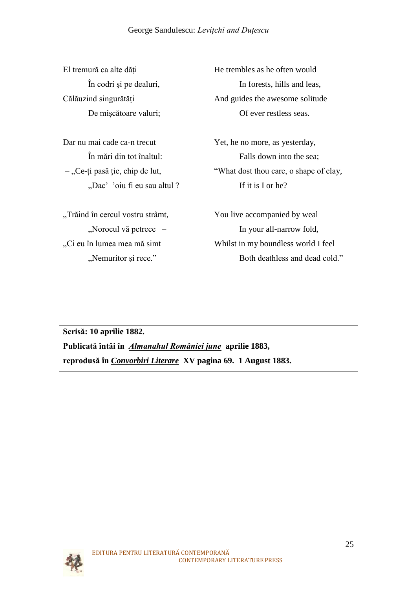Dar nu mai cade ca-n trecut Yet, he no more, as yesterday, "Dac" 'oiu fi eu sau altul ? If it is I or he?

"Trăind în cercul vostru strâmt,You live accompanied by weal

El tremură ca alte dăți He trembles as he often would În codri şi pe dealuri, In forests, hills and leas, Călăuzind singurătăți And guides the awesome solitude De mişcătoare valuri; Of ever restless seas.

În mări din tot înaltul: Falls down into the sea; – "Ce-ți pasă ție, chip de lut, "What dost thou care, o shape of clay,

"Norocul vă petrece – In your all-narrow fold, "Ci eu în lumea mea mă simtWhilst in my boundless world I feel "Nemuritor şi rece." Both deathless and dead cold."

**Scrisă: 10 aprilie 1882. Publicată întâi în** *Almanahul României june* **aprilie 1883, reprodusă în** *Convorbiri Literare* **XV pagina 69. 1 August 1883.** 

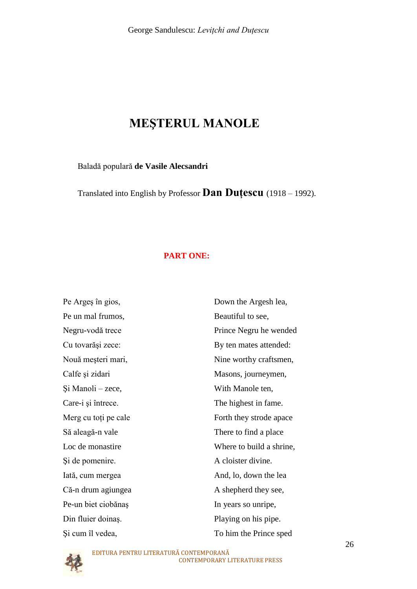# **MEŞTERUL MANOLE**

Baladă populară **de [Vasile Alecsandri](http://www.poezie.ro/index.php/author/2194/Vasile_Alecsandri)**

Translated into English by Professor **Dan Duţescu** (1918 – 1992).

#### **PART ONE:**

| Pe Argeș în gios,    | Down the Argesh lea,     |
|----------------------|--------------------------|
| Pe un mal frumos,    | Beautiful to see,        |
| Negru-vodă trece     | Prince Negru he wended   |
| Cu tovarăși zece:    | By ten mates attended:   |
| Nouă meșteri mari,   | Nine worthy craftsmen,   |
| Calfe și zidari      | Masons, journeymen,      |
| Şi Manoli – zece,    | With Manole ten,         |
| Care-i și întrece.   | The highest in fame.     |
| Merg cu toți pe cale | Forth they strode apace  |
| Să aleagă-n vale     | There to find a place    |
| Loc de monastire     | Where to build a shrine, |
| Si de pomenire.      | A cloister divine.       |
| Iată, cum mergea     | And, lo, down the lea    |
| Că-n drum agiungea   | A shepherd they see,     |
| Pe-un biet ciobănaș  | In years so unripe,      |
| Din fluier doinaș.   | Playing on his pipe.     |
| Și cum îl vedea,     | To him the Prince sped   |

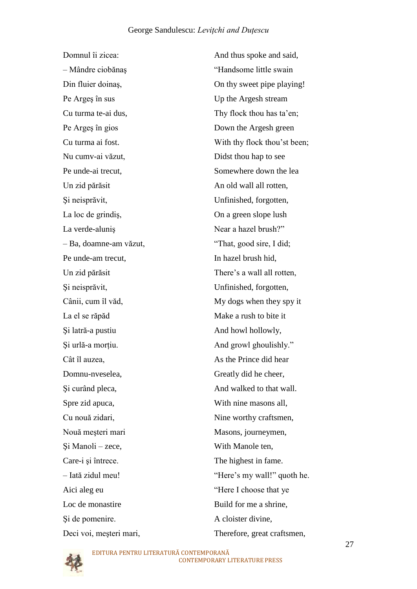Pe Arges în sus Up the Argesh stream Nu cumv-ai văzut, Didst thou hap to see Un zid părăsit An old wall all rotten, Şi neisprăvit, Unfinished, forgotten, La loc de grindiş, On a green slope lush La verde-alunis Near a hazel brush?" – Ba, doamne-am văzut, "That, good sire, I did; Pe unde-am trecut, In hazel brush hid, Şi neisprăvit, Unfinished, forgotten, La el se răpăd Make a rush to bite it Şi latră-a pustiu And howl hollowly, Cât îl auzea, As the Prince did hear Domnu-nveselea, Greatly did he cheer, Spre zid apuca, With nine masons all, Nouă meșteri mari Masons, journeymen, Şi Manoli – zece, With Manole ten, Care-i și întrece. The highest in fame. Aici aleg eu "Here I choose that ye Loc de monastire Build for me a shrine. Şi de pomenire. A cloister divine, Deci voi, meşteri mari, Therefore, great craftsmen,

Domnul îi zicea: And thus spoke and said, – Mândre ciobănaş "Handsome little swain Din fluier doinas, On thy sweet pipe playing! Cu turma te-ai dus, Thy flock thou has ta'en; Pe Arges în gios Down the Argesh green Cu turma ai fost. With thy flock thou"st been; Pe unde-ai trecut. Somewhere down the lea Un zid părăsit There's a wall all rotten, Cânii, cum îl văd, My dogs when they spy it Şi urlă-a morţiu. And growl ghoulishly." Si curând pleca, And walked to that wall. Cu nouă zidari, Nine worthy craftsmen, – Iată zidul meu! "Here"s my wall!" quoth he.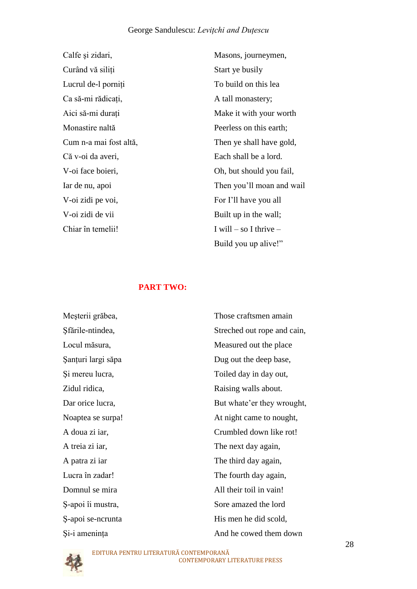Calfe și zidari, Masons, journeymen, Curând vă siliți Start ye busily Lucrul de-l porniți To build on this lea Ca să-mi rădicați, A tall monastery; Monastire naltă Peerless on this earth; Că v-oi da averi, Each shall be a lord. V-oi zidi pe voi, For I"ll have you all V-oi zidi de vii Built up in the wall; Chiar în temelii! I will – so I thrive –

Aici să-mi durați metal material Make it with your worth Cum n-a mai fost altă, Then ye shall have gold, V-oi face boieri, Oh, but should you fail, Iar de nu, apoi Then you"ll moan and wail Build you up alive!"

#### **PART TWO:**

| Meșterii grăbea,   | Those craftsmen amain       |
|--------------------|-----------------------------|
| Sfările-ntindea,   | Streched out rope and cain, |
| Locul măsura,      | Measured out the place      |
| Şanturi largi săpa | Dug out the deep base,      |
| Și mereu lucra,    | Toiled day in day out,      |
| Zidul ridica,      | Raising walls about.        |
| Dar orice lucra,   | But whate'er they wrought,  |
| Noaptea se surpa!  | At night came to nought,    |
| A doua zi iar,     | Crumbled down like rot!     |
| A treia zi iar,    | The next day again,         |
| A patra zi iar     | The third day again,        |
| Lucra în zadar!    | The fourth day again,       |
| Domnul se mira     | All their toil in vain!     |
| Ș-apoi îi mustra,  | Sore amazed the lord        |
| S-apoi se-ncrunta  | His men he did scold,       |
| Si-i amenința      | And he cowed them down      |

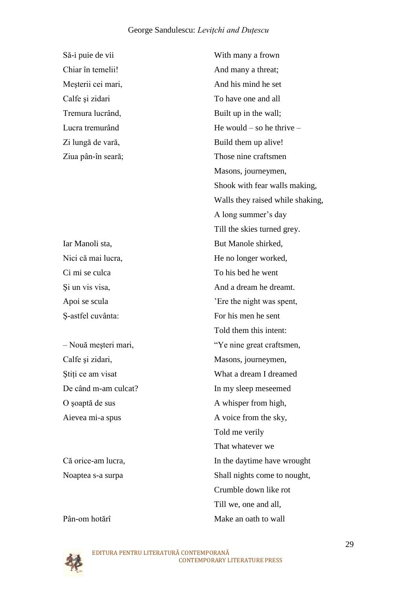Calfe și zidari, Masons, journeymen, O soaptă de sus A whisper from high,

Pân-om hotărî Make an oath to wall

Să-i puie de vii With many a frown Chiar în temelii! And many a threat; Mesterii cei mari, and his mind he set Calfe si zidari To have one and all Tremura lucrând, Built up in the wall; Lucra tremurând He would – so he thrive – Zi lungă de vară, Build them up alive! Ziua pân-în seară; Those nine craftsmen Masons, journeymen, Shook with fear walls making, Walls they raised while shaking, A long summer"s day Till the skies turned grey. Iar Manoli sta, But Manole shirked, Nici că mai lucra, He no longer worked, Ci mi se culca To his bed he went Si un vis visa, And a dream he dreamt. Apoi se scula "Ere the night was spent, Ş-astfel cuvânta: For his men he sent Told them this intent: – Nouă meşteri mari, "Ye nine great craftsmen, Stiți ce am visat What a dream I dreamed De când m-am culcat? In my sleep meseemed Aievea mi-a spus A voice from the sky, Told me verily That whatever we Că orice-am lucra, In the daytime have wrought Noaptea s-a surpa Shall nights come to nought, Crumble down like rot Till we, one and all,

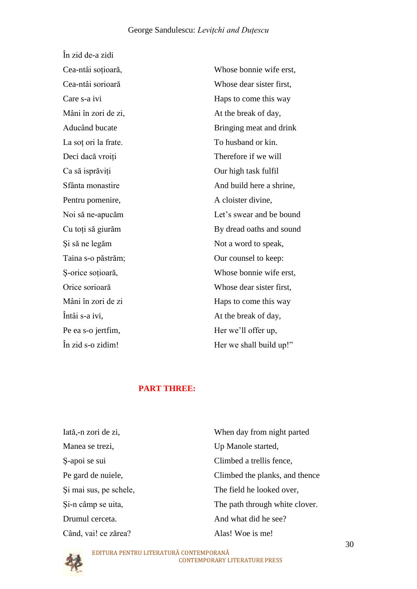| În zid de-a zidi     |                          |
|----------------------|--------------------------|
| Cea-ntâi soțioară,   | Whose bonnie wife erst,  |
| Cea-ntâi sorioară    | Whose dear sister first, |
| Care s-a ivi         | Haps to come this way    |
| Mâni în zori de zi,  | At the break of day,     |
| Aducând bucate       | Bringing meat and drink  |
| La soț ori la frate. | To husband or kin.       |
| Deci dacă vroiți     | Therefore if we will     |
| Ca să isprăviți      | Our high task fulfil     |
| Sfânta monastire     | And build here a shrine, |
| Pentru pomenire,     | A cloister divine,       |
| Noi să ne-apucăm     | Let's swear and be bound |
| Cu toți să giurăm    | By dread oaths and sound |
| Și să ne legăm       | Not a word to speak,     |
| Taina s-o păstrăm;   | Our counsel to keep:     |
| Ș-orice soțioară,    | Whose bonnie wife erst,  |
| Orice sorioară       | Whose dear sister first, |
| Mâni în zori de zi   | Haps to come this way    |
| Întâi s-a ivi,       | At the break of day,     |
| Pe ea s-o jertfim,   | Her we'll offer up,      |
| În zid s-o zidim!    | Her we shall build up!"  |
|                      |                          |

## **PART THREE:**

| When day from night parted     |
|--------------------------------|
| Up Manole started,             |
| Climbed a trellis fence,       |
| Climbed the planks, and thence |
| The field he looked over,      |
| The path through white clover. |
| And what did he see?           |
| Alas! Woe is me!               |
|                                |

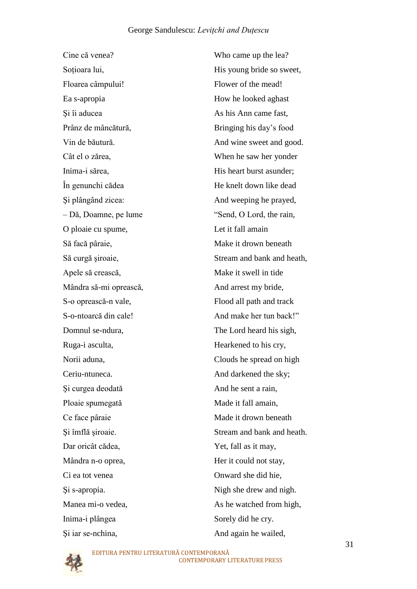Cine că venea? Who came up the lea? Floarea câmpului! Flower of the mead! Ea s-apropia How he looked aghast Si îi aducea As his Ann came fast, Prânz de mâncătură, Bringing his day"s food Inima-i sărea, His heart burst asunder; – Dă, Doamne, pe lume "Send, O Lord, the rain, O ploaie cu spume, Let it fall amain Să facă pâraie, Make it drown beneath Apele să crească, Make it swell in tide Mândra să-mi oprească, And arrest my bride, S-o oprească-n vale, Flood all path and track Ruga-i asculta, Hearkened to his cry, Ceriu-ntuneca. And darkened the sky; Si curgea deodată din And he sent a rain, Ploaie spumegată Made it fall amain, Ce face pâraie Made it drown beneath Dar oricât cădea, Yet, fall as it may, Mândra n-o oprea, Her it could not stay, Ci ea tot venea Onward she did hie, Inima-i plângea Sorely did he cry. Şi iar se-nchina, And again he wailed,

Soțioara lui, His young bride so sweet, Vin de băutură. And wine sweet and good. Cât el o zărea, When he saw her yonder În genunchi cădea He knelt down like dead Şi plângând zicea: And weeping he prayed, Să curgă şiroaie, Stream and bank and heath, S-o-ntoarcă din cale! And make her tun back!" Domnul se-ndura, The Lord heard his sigh, Norii aduna, Clouds he spread on high Şi îmflă şiroaie. Stream and bank and heath. Şi s-apropia. Nigh she drew and nigh. Manea mi-o vedea, As he watched from high,

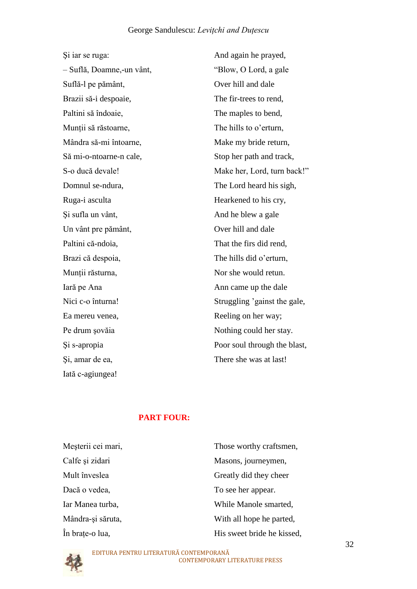| Si iar se ruga:           | And again he prayed,         |
|---------------------------|------------------------------|
| - Suflă, Doamne,-un vânt, | "Blow, O Lord, a gale        |
| Suflă-l pe pământ,        | Over hill and dale           |
| Brazii să-i despoaie,     | The fir-trees to rend,       |
| Paltini să îndoaie,       | The maples to bend,          |
| Munții să răstoarne,      | The hills to o'erturn,       |
| Mândra să-mi întoarne,    | Make my bride return,        |
| Să mi-o-ntoarne-n cale,   | Stop her path and track,     |
| S-o ducă devale!          | Make her, Lord, turn back!"  |
| Domnul se-ndura,          | The Lord heard his sigh,     |
| Ruga-i asculta            | Hearkened to his cry,        |
| Și sufla un vânt,         | And he blew a gale           |
| Un vânt pre pământ,       | Over hill and dale           |
| Paltini că-ndoia,         | That the firs did rend,      |
| Brazi că despoia,         | The hills did o'erturn,      |
| Munții răsturna,          | Nor she would retun.         |
| Iară pe Ana               | Ann came up the dale         |
| Nici c-o înturna!         | Struggling 'gainst the gale, |
| Ea mereu venea,           | Reeling on her way;          |
| Pe drum șovăia            | Nothing could her stay.      |
| Si s-apropia              | Poor soul through the blast, |
| Și, amar de ea,           | There she was at last!       |
| Iată c-agiungea!          |                              |

### **PART FOUR:**

| Meșterii cei mari, | Those worthy craftsmen,    |
|--------------------|----------------------------|
| Calfe și zidari    | Masons, journeymen,        |
| Mult înveslea      | Greatly did they cheer     |
| Dacă o vedea,      | To see her appear.         |
| Iar Manea turba,   | While Manole smarted,      |
| Mândra-și săruta,  | With all hope he parted,   |
| În brațe-o lua,    | His sweet bride he kissed, |

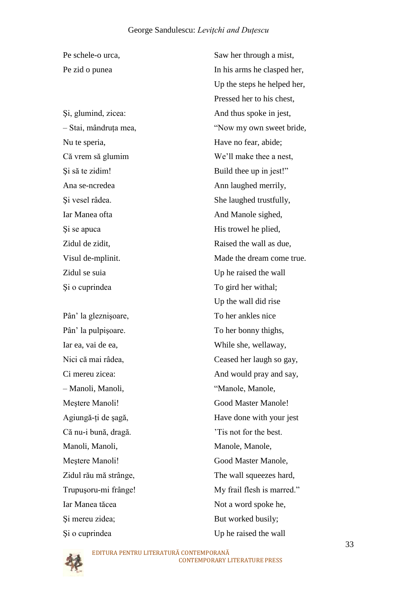Nu te speria, Have no fear, abide; Iar Manea ofta **And Manole sighed**, Si se apuca His trowel he plied, Si o cuprindea To gird her withal;

Pân" la gleznişoare, To her ankles nice Pân" la pulpişoare. To her bonny thighs, Iar ea, vai de ea, While she, wellaway, – Manoli, Manoli, "Manole, Manole, Că nu-i bună, dragă.  $\overline{\phantom{a}}$  'Tis not for the best. Manoli, Manoli, Manole, Manole, Iar Manea tăcea Not a word spoke he, Si mereu zidea; But worked busily; Si o cuprindea Up he raised the wall

Pe schele-o urca, Saw her through a mist, Pe zid o punea In his arms he clasped her, Up the steps he helped her, Pressed her to his chest, Şi, glumind, zicea: And thus spoke in jest, – Stai, mândruţa mea, "Now my own sweet bride, Că vrem să glumim We"ll make thee a nest, Şi să te zidim! Build thee up in jest!" Ana se-ncredea Ann laughed merrily, Şi vesel râdea. She laughed trustfully, Zidul de zidit, Raised the wall as due, Visul de-mplinit. Made the dream come true. Zidul se suia Up he raised the wall Up the wall did rise Nici că mai râdea, Ceased her laugh so gay, Ci mereu zicea: And would pray and say, Mestere Manoli! Good Master Manole! Agiungă-ţi de şagă, Have done with your jest Meștere Manoli! Good Master Manole, Zidul rău mă strânge, The wall squeezes hard, Trupuşoru-mi frânge! My frail flesh is marred."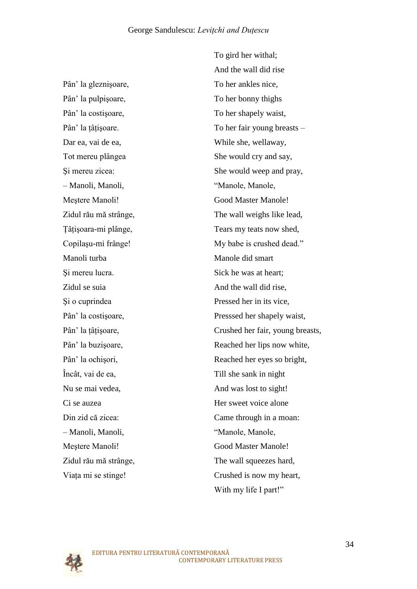Pân" la gleznişoare, To her ankles nice, Pân" la pulpişoare, To her bonny thighs Pân' la costișoare, To her shapely waist, Dar ea, vai de ea, While she, wellaway, – Manoli, Manoli, "Manole, Manole, Mestere Manoli! Good Master Manole! Manoli turba Manole did smart Si mereu lucra. Sick he was at heart: Zidul se suia And the wall did rise, Încât, vai de ea, Till she sank in night Nu se mai vedea, And was lost to sight! Ci se auzea **Her sweet voice alone** – Manoli, Manoli, "Manole, Manole, Meștere Manoli! Good Master Manole!

To gird her withal; And the wall did rise Pân' la tâțisoare. To her fair young breasts – Tot mereu plângea She would cry and say, Şi mereu zicea: She would weep and pray, Zidul rău mă strânge, The wall weighs like lead, Tâțișoara-mi plânge, Tears my teats now shed, Copilașu-mi frânge! My babe is crushed dead." Şi o cuprindea Pressed her in its vice, Pân' la costișoare, Presssed her shapely waist, Pân' la țâțișoare, Crushed her fair, young breasts, Pân' la buzișoare, Reached her lips now white, Pân' la ochișori, Reached her eyes so bright, Din zid că zicea: Came through in a moan: Zidul rău mă strânge, The wall squeezes hard, Viața mi se stinge! Crushed is now my heart, With my life I part!"

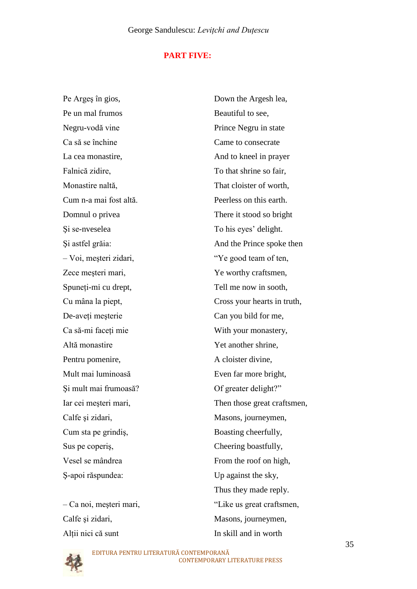#### **PART FIVE:**

Pe Arges în gios, Down the Argesh lea, Pe un mal frumos Beautiful to see. Negru-vodă vine Prince Negru in state Ca să se închine Came to consecrate La cea monastire, and to kneel in prayer Falnică zidire, To that shrine so fair, Monastire naltă, That cloister of worth, Cum n-a mai fost altă. Peerless on this earth. Domnul o privea There it stood so bright Şi se-nveselea To his eyes" delight. – Voi, meşteri zidari, "Ye good team of ten, Zece mesteri mari,  $\qquad \qquad$  Ye worthy craftsmen, Spuneti-mi cu drept, Tell me now in sooth, De-aveți meșterie Can you bild for me, Ca să-mi faceţi mie With your monastery, Altă monastire Yet another shrine. Pentru pomenire, A cloister divine, Mult mai luminoasă Even far more bright, Şi mult mai frumoasă? Of greater delight?" Calfe și zidari, Masons, journeymen, Cum sta pe grindiş, Boasting cheerfully, Sus pe coperis, Cheering boastfully, Vesel se mândrea From the roof on high, Ş-apoi răspundea: Up against the sky,

Altii nici că sunt In skill and in worth

Şi astfel grăia: And the Prince spoke then Cu mâna la piept, Cross your hearts in truth, Iar cei meşteri mari, Then those great craftsmen, Thus they made reply. – Ca noi, meşteri mari, "Like us great craftsmen, Calfe și zidari, Masons, journeymen,

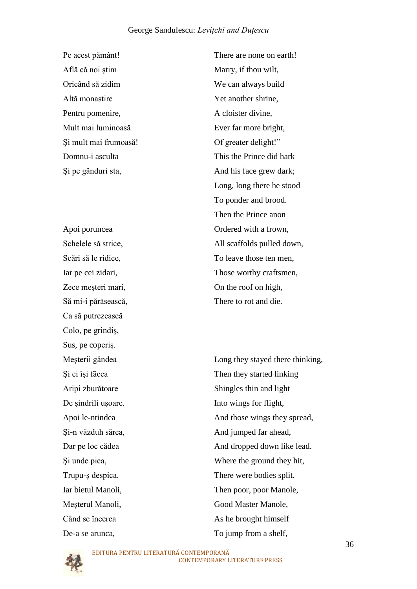Pe acest pământ! There are none on earth! Află că noi ştim Marry, if thou wilt, Oricând să zidim We can always build Altă monastire Yet another shrine, Pentru pomenire, A cloister divine, Mult mai luminoasă Ever far more bright, Şi mult mai frumoasă! Of greater delight!"

Să mi-i părăsească, There to rot and die. Ca să putrezească Colo, pe grindiş, Sus, pe coperiş.

Domnu-i asculta This the Prince did hark Şi pe gânduri sta, And his face grew dark; Long, long there he stood To ponder and brood. Then the Prince anon Apoi poruncea **Ordered with a frown**, Schelele să strice, All scaffolds pulled down, Scări să le ridice, To leave those ten men, Iar pe cei zidari, Those worthy craftsmen, Zece meşteri mari, On the roof on high,

Meşterii gândea Long they stayed there thinking, Şi ei îşi făcea Then they started linking Aripi zburătoare Shingles thin and light De sindrili usoare. Into wings for flight, Apoi le-ntindea And those wings they spread, Şi-n văzduh sărea, And jumped far ahead, Dar pe loc cădea And dropped down like lead. Şi unde pica, Where the ground they hit, Trupu-ş despica. There were bodies split. Iar bietul Manoli, Then poor, poor Manole, Meşterul Manoli, Good Master Manole, Când se încerca As he brought himself De-a se arunca, To jump from a shelf,

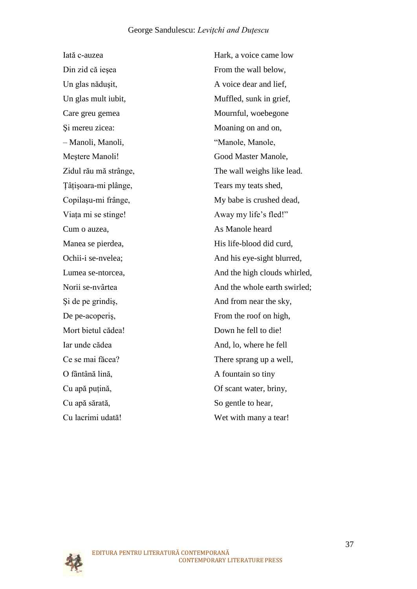Din zid că ieșea From the wall below, Un glas nădușit, <br>
A voice dear and lief, Un glas mult iubit, Muffled, sunk in grief, Care greu gemea Mournful, woebegone Si mereu zicea: Moaning on and on, – Manoli, Manoli, "Manole, Manole, Meştere Manoli! Good Master Manole, Tâțișoara-mi plânge, Tears my teats shed, Viata mi se stinge! Away my life's fled!" Cum o auzea, As Manole heard De pe-acoperis, From the roof on high, Mort bietul cădea! Down he fell to die! Iar unde cădea And, lo, where he fell O fântână lină, A fountain so tiny Cu apă puțină, Of scant water, briny, Cu apă sărată, So gentle to hear, Cu lacrimi udată! Wet with many a tear!

Iată c-auzea Hark, a voice came low Zidul rău mă strânge, The wall weighs like lead. Copilașu-mi frânge, My babe is crushed dead, Manea se pierdea, His life-blood did curd, Ochii-i se-nvelea; And his eye-sight blurred, Lumea se-ntorcea, And the high clouds whirled, Norii se-nvârtea And the whole earth swirled; Şi de pe grindiş, And from near the sky, Ce se mai făcea? There sprang up a well,

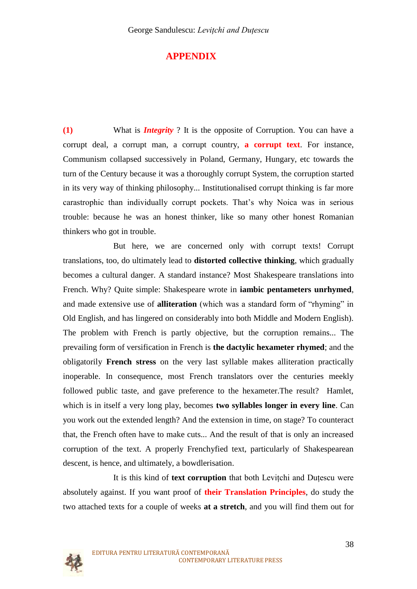## **APPENDIX**

**(1)** What is *Integrity* ? It is the opposite of Corruption. You can have a corrupt deal, a corrupt man, a corrupt country, **a corrupt text**. For instance, Communism collapsed successively in Poland, Germany, Hungary, etc towards the turn of the Century because it was a thoroughly corrupt System, the corruption started in its very way of thinking philosophy... Institutionalised corrupt thinking is far more carastrophic than individually corrupt pockets. That"s why Noica was in serious trouble: because he was an honest thinker, like so many other honest Romanian thinkers who got in trouble.

But here, we are concerned only with corrupt texts! Corrupt translations, too, do ultimately lead to **distorted collective thinking**, which gradually becomes a cultural danger. A standard instance? Most Shakespeare translations into French. Why? Quite simple: Shakespeare wrote in **iambic pentameters unrhymed**, and made extensive use of **alliteration** (which was a standard form of "rhyming" in Old English, and has lingered on considerably into both Middle and Modern English). The problem with French is partly objective, but the corruption remains... The prevailing form of versification in French is **the dactylic hexameter rhymed**; and the obligatorily **French stress** on the very last syllable makes alliteration practically inoperable. In consequence, most French translators over the centuries meekly followed public taste, and gave preference to the hexameter.The result? Hamlet, which is in itself a very long play, becomes **two syllables longer in every line**. Can you work out the extended length? And the extension in time, on stage? To counteract that, the French often have to make cuts... And the result of that is only an increased corruption of the text. A properly Frenchyfied text, particularly of Shakespearean descent, is hence, and ultimately, a bowdlerisation.

It is this kind of **text corruption** that both Levitchi and Dutescu were absolutely against. If you want proof of **their Translation Principles**, do study the two attached texts for a couple of weeks **at a stretch**, and you will find them out for

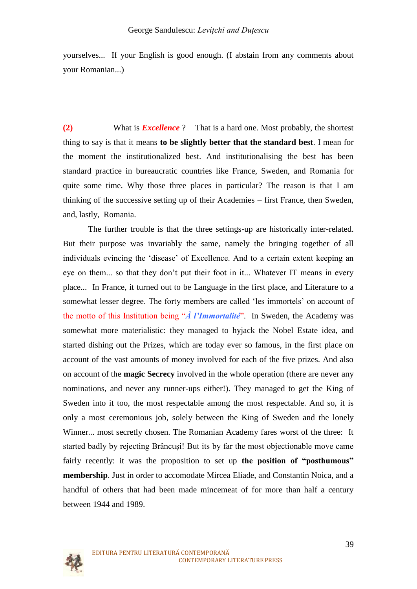yourselves... If your English is good enough. (I abstain from any comments about your Romanian...)

**(2)** What is *Excellence* ? That is a hard one. Most probably, the shortest thing to say is that it means **to be slightly better that the standard best**. I mean for the moment the institutionalized best. And institutionalising the best has been standard practice in bureaucratic countries like France, Sweden, and Romania for quite some time. Why those three places in particular? The reason is that I am thinking of the successive setting up of their Academies – first France, then Sweden, and, lastly, Romania.

The further trouble is that the three settings-up are historically inter-related. But their purpose was invariably the same, namely the bringing together of all individuals evincing the "disease" of Excellence. And to a certain extent keeping an eye on them... so that they don"t put their foot in it... Whatever IT means in every place... In France, it turned out to be Language in the first place, and Literature to a somewhat lesser degree. The forty members are called 'les immortels' on account of the motto of this Institution being "*À l'Immortalité*". In Sweden, the Academy was somewhat more materialistic: they managed to hyjack the Nobel Estate idea, and started dishing out the Prizes, which are today ever so famous, in the first place on account of the vast amounts of money involved for each of the five prizes. And also on account of the **magic Secrecy** involved in the whole operation (there are never any nominations, and never any runner-ups either!). They managed to get the King of Sweden into it too, the most respectable among the most respectable. And so, it is only a most ceremonious job, solely between the King of Sweden and the lonely Winner... most secretly chosen. The Romanian Academy fares worst of the three: It started badly by rejecting Brâncuşi! But its by far the most objectionable move came fairly recently: it was the proposition to set up **the position of "posthumous" membership**. Just in order to accomodate Mircea Eliade, and Constantin Noica, and a handful of others that had been made mincemeat of for more than half a century between 1944 and 1989.

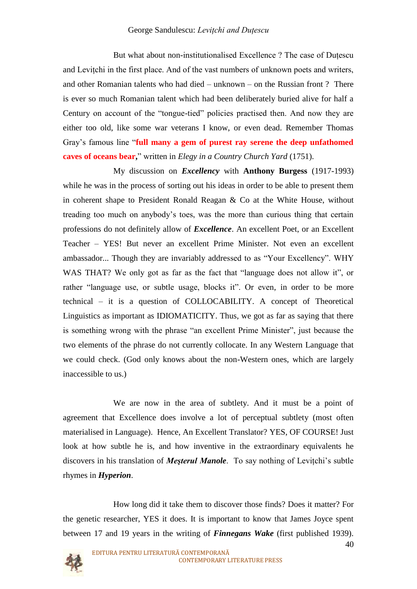But what about non-institutionalised Excellence? The case of Dutescu and Levitchi in the first place. And of the vast numbers of unknown poets and writers, and other Romanian talents who had died – unknown – on the Russian front ? There is ever so much Romanian talent which had been deliberately buried alive for half a Century on account of the "tongue-tied" policies practised then. And now they are either too old, like some war veterans I know, or even dead. Remember Thomas Gray"s famous line "**full many a gem of purest ray serene the deep unfathomed caves of oceans bear,**" written in *Elegy in a Country Church Yard* (1751).

My discussion on *Excellency* with **Anthony Burgess** (1917-1993) while he was in the process of sorting out his ideas in order to be able to present them in coherent shape to President Ronald Reagan & Co at the White House, without treading too much on anybody"s toes, was the more than curious thing that certain professions do not definitely allow of *Excellence*. An excellent Poet, or an Excellent Teacher – YES! But never an excellent Prime Minister. Not even an excellent ambassador... Though they are invariably addressed to as "Your Excellency". WHY WAS THAT? We only got as far as the fact that "language does not allow it", or rather "language use, or subtle usage, blocks it". Or even, in order to be more technical – it is a question of COLLOCABILITY. A concept of Theoretical Linguistics as important as IDIOMATICITY. Thus, we got as far as saying that there is something wrong with the phrase "an excellent Prime Minister", just because the two elements of the phrase do not currently collocate. In any Western Language that we could check. (God only knows about the non-Western ones, which are largely inaccessible to us.)

We are now in the area of subtlety. And it must be a point of agreement that Excellence does involve a lot of perceptual subtlety (most often materialised in Language). Hence, An Excellent Translator? YES, OF COURSE! Just look at how subtle he is, and how inventive in the extraordinary equivalents he discovers in his translation of *Mesterul Manole*. To say nothing of Levitchi's subtle rhymes in *Hyperion*.

How long did it take them to discover those finds? Does it matter? For the genetic researcher, YES it does. It is important to know that James Joyce spent between 17 and 19 years in the writing of *Finnegans Wake* (first published 1939).

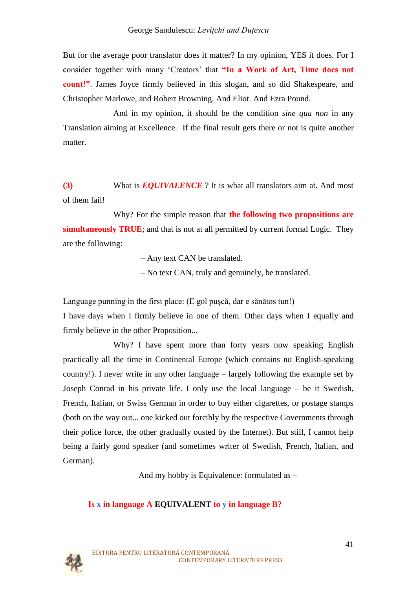But for the average poor translator does it matter? In my opinion, YES it does. For I consider together with many "Creators" that **"In a Work of Art, Time does not count!"**. James Joyce firmly believed in this slogan, and so did Shakespeare, and Christopher Marlowe, and Robert Browning. And Eliot. And Ezra Pound.

And in my opinion, it should be the condition *sine qua non* in any Translation aiming at Excellence. If the final result gets there or not is quite another matter.

**(3)** What is *EQUIVALENCE* ? It is what all translators aim at. And most of them fail!

Why? For the simple reason that **the following two propositions are simultaneously TRUE**; and that is not at all permitted by current formal Logic. They are the following:

– Any text CAN be translated.

– No text CAN, truly and genuinely, be translated.

Language punning in the first place: (E gol puşcă, dar e sănătos tun!)

I have days when I firmly believe in one of them. Other days when I equally and firmly believe in the other Proposition...

Why? I have spent more than forty years now speaking English practically all the time in Continental Europe (which contains no English-speaking country!). I never write in any other language – largely following the example set by Joseph Conrad in his private life. I only use the local language – be it Swedish, French, Italian, or Swiss German in order to buy either cigarettes, or postage stamps (both on the way out... one kicked out forcibly by the respective Governments through their police force, the other gradually ousted by the Internet). But still, I cannot help being a fairly good speaker (and sometimes writer of Swedish, French, Italian, and German).

And my hobby is Equivalence: formulated as –

### **Is x in language A EQUIVALENT to y in language B?**

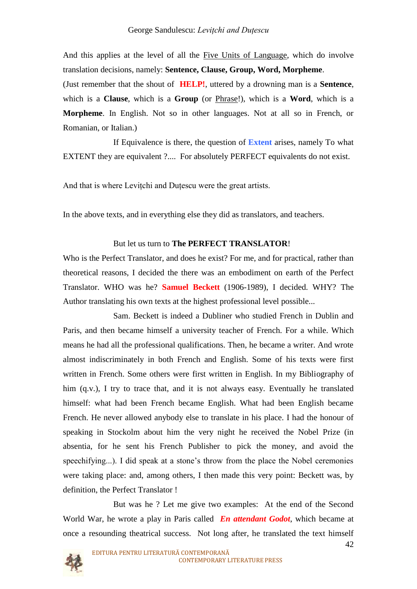And this applies at the level of all the Five Units of Language, which do involve translation decisions, namely: **Sentence, Clause, Group, Word, Morpheme**.

(Just remember that the shout of **HELP!**, uttered by a drowning man is a **Sentence**, which is a **Clause**, which is a **Group** (or Phrase!), which is a **Word**, which is a **Morpheme**. In English. Not so in other languages. Not at all so in French, or Romanian, or Italian.)

If Equivalence is there, the question of **Extent** arises, namely To what EXTENT they are equivalent ?.... For absolutely PERFECT equivalents do not exist.

And that is where Levitchi and Dutescu were the great artists.

In the above texts, and in everything else they did as translators, and teachers.

### But let us turn to **The PERFECT TRANSLATOR**!

Who is the Perfect Translator, and does he exist? For me, and for practical, rather than theoretical reasons, I decided the there was an embodiment on earth of the Perfect Translator. WHO was he? **Samuel Beckett** (1906-1989), I decided. WHY? The Author translating his own texts at the highest professional level possible...

Sam. Beckett is indeed a Dubliner who studied French in Dublin and Paris, and then became himself a university teacher of French. For a while. Which means he had all the professional qualifications. Then, he became a writer. And wrote almost indiscriminately in both French and English. Some of his texts were first written in French. Some others were first written in English. In my Bibliography of him (q.v.), I try to trace that, and it is not always easy. Eventually he translated himself: what had been French became English. What had been English became French. He never allowed anybody else to translate in his place. I had the honour of speaking in Stockolm about him the very night he received the Nobel Prize (in absentia, for he sent his French Publisher to pick the money, and avoid the speechifying...). I did speak at a stone's throw from the place the Nobel ceremonies were taking place: and, among others, I then made this very point: Beckett was, by definition, the Perfect Translator !

But was he ? Let me give two examples: At the end of the Second World War, he wrote a play in Paris called *En attendant Godot*, which became at once a resounding theatrical success. Not long after, he translated the text himself

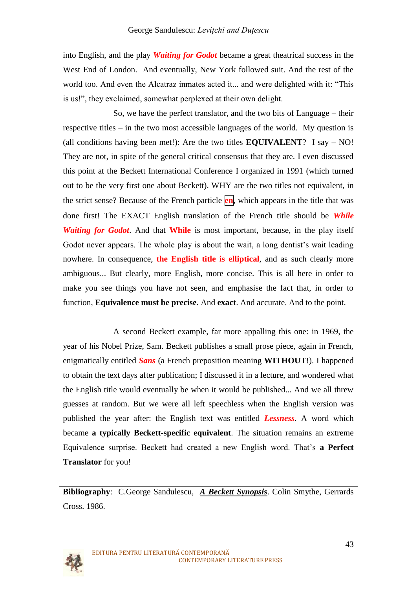into English, and the play *Waiting for Godot* became a great theatrical success in the West End of London. And eventually, New York followed suit. And the rest of the world too. And even the Alcatraz inmates acted it... and were delighted with it: "This is us!", they exclaimed, somewhat perplexed at their own delight.

So, we have the perfect translator, and the two bits of Language – their respective titles – in the two most accessible languages of the world. My question is (all conditions having been met!): Are the two titles **EQUIVALENT**? I say – NO! They are not, in spite of the general critical consensus that they are. I even discussed this point at the Beckett International Conference I organized in 1991 (which turned out to be the very first one about Beckett). WHY are the two titles not equivalent, in the strict sense? Because of the French particle **en**, which appears in the title that was done first! The EXACT English translation of the French title should be *While Waiting for Godot*. And that **While** is most important, because, in the play itself Godot never appears. The whole play is about the wait, a long dentist's wait leading nowhere. In consequence, **the English title is elliptical**, and as such clearly more ambiguous... But clearly, more English, more concise. This is all here in order to make you see things you have not seen, and emphasise the fact that, in order to function, **Equivalence must be precise**. And **exact**. And accurate. And to the point.

A second Beckett example, far more appalling this one: in 1969, the year of his Nobel Prize, Sam. Beckett publishes a small prose piece, again in French, enigmatically entitled *Sans* (a French preposition meaning **WITHOUT**!). I happened to obtain the text days after publication; I discussed it in a lecture, and wondered what the English title would eventually be when it would be published... And we all threw guesses at random. But we were all left speechless when the English version was published the year after: the English text was entitled *Lessness*. A word which became **a typically Beckett-specific equivalent**. The situation remains an extreme Equivalence surprise. Beckett had created a new English word. That"s **a Perfect Translator** for you!

**Bibliography**: C.George Sandulescu, *A Beckett Synopsis*. Colin Smythe, Gerrards Cross. 1986.

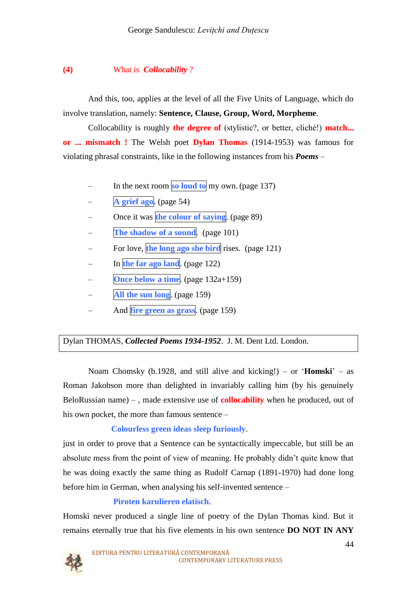#### **(4)** What is *Collocability* ?

And this, too, applies at the level of all the Five Units of Language, which do involve translation, namely: **Sentence, Clause, Group, Word, Morpheme**.

Collocability is roughly **the degree of** (stylistic?, or better, cliché!) **match... or ... mismatch !** The Welsh poet **Dylan Thomas** (1914-1953) was famous for violating phrasal constraints, like in the following instances from his *Poems* –

- In the next room **so loud to** my own. (page 137)
- **A grief ago**. (page 54)
- Once it was **the colour of saying**. (page 89)
- **The shadow of a sound**. (page 101)
- For love, **the long ago she bird** rises. (page 121)
- In **the far ago land**. (page 122)
- **Once below a time**. (page 132a+159)
- **All the sun long**. (page 159)
- And **fire green as grass**. (page 159)

## Dylan THOMAS, *Collected Poems 1934-1952*. J. M. Dent Ltd. London.

Noam Chomsky (b.1928, and still alive and kicking!) – or "**Homski**" – as Roman Jakobson more than delighted in invariably calling him (by his genuinely BeloRussian name) – , made extensive use of **collocability** when he produced, out of his own pocket, the more than famous sentence –

#### **Colourless green ideas sleep furiously**.

just in order to prove that a Sentence can be syntactically impeccable, but still be an absolute mess from the point of view of meaning. He probably didn"t quite know that he was doing exactly the same thing as Rudolf Carnap (1891-1970) had done long before him in German, when analysing his self-invented sentence –

### **Piroten karulieren elatisch**.

Homski never produced a single line of poetry of the Dylan Thomas kind. But it remains eternally true that his five elements in his own sentence **DO NOT IN ANY** 

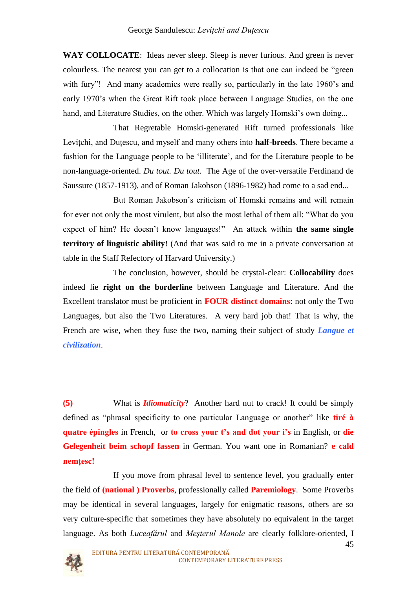**WAY COLLOCATE**: Ideas never sleep. Sleep is never furious. And green is never colourless. The nearest you can get to a collocation is that one can indeed be "green with fury"! And many academics were really so, particularly in the late 1960's and early 1970"s when the Great Rift took place between Language Studies, on the one hand, and Literature Studies, on the other. Which was largely Homski's own doing...

That Regretable Homski-generated Rift turned professionals like Levitchi, and Dutescu, and myself and many others into **half-breeds**. There became a fashion for the Language people to be "illiterate", and for the Literature people to be non-language-oriented. *Du tout. Du tout.* The Age of the over-versatile Ferdinand de Saussure (1857-1913), and of Roman Jakobson (1896-1982) had come to a sad end...

But Roman Jakobson"s criticism of Homski remains and will remain for ever not only the most virulent, but also the most lethal of them all: "What do you expect of him? He doesn"t know languages!" An attack within **the same single territory of linguistic ability**! (And that was said to me in a private conversation at table in the Staff Refectory of Harvard University.)

The conclusion, however, should be crystal-clear: **Collocability** does indeed lie **right on the borderline** between Language and Literature. And the Excellent translator must be proficient in **FOUR distinct domains**: not only the Two Languages, but also the Two Literatures. A very hard job that! That is why, the French are wise, when they fuse the two, naming their subject of study *Langue et civilization*.

**(5)** What is *Idiomaticity*? Another hard nut to crack! It could be simply defined as "phrasal specificity to one particular Language or another" like **tiré à quatre épingles** in French, or **to cross your t's and dot your i's** in English, or **die Gelegenheit beim schopf fassen** in German. You want one in Romanian? **e cald nemţesc!**

If you move from phrasal level to sentence level, you gradually enter the field of **(national ) Proverbs**, professionally called **Paremiology**. Some Proverbs may be identical in several languages, largely for enigmatic reasons, others are so very culture-specific that sometimes they have absolutely no equivalent in the target language. As both *Luceafărul* and *Meşterul Manole* are clearly folklore-oriented, I

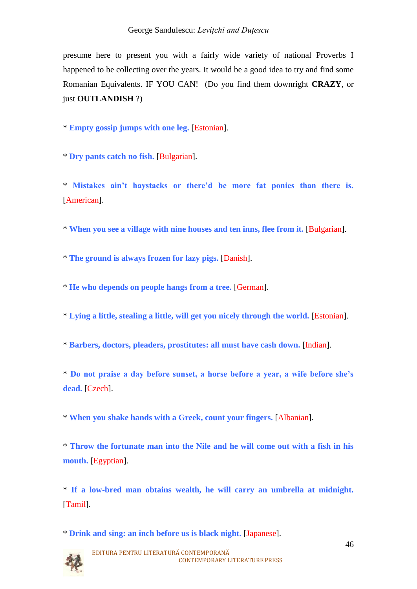presume here to present you with a fairly wide variety of national Proverbs I happened to be collecting over the years. It would be a good idea to try and find some Romanian Equivalents. IF YOU CAN! (Do you find them downright **CRAZY**, or just **OUTLANDISH** ?)

\* **Empty gossip jumps with one leg.** [Estonian].

\* **Dry pants catch no fish.** [Bulgarian].

\* **Mistakes ain't haystacks or there'd be more fat ponies than there is.** [American].

\* **When you see a village with nine houses and ten inns, flee from it.** [Bulgarian].

\* **The ground is always frozen for lazy pigs.** [Danish].

\* **He who depends on people hangs from a tree.** [German].

\* **Lying a little, stealing a little, will get you nicely through the world.** [Estonian].

\* **Barbers, doctors, pleaders, prostitutes: all must have cash down.** [Indian].

\* **Do not praise a day before sunset, a horse before a year, a wife before she's dead.** [Czech].

\* **When you shake hands with a Greek, count your fingers.** [Albanian].

\* **Throw the fortunate man into the Nile and he will come out with a fish in his mouth.** [Egyptian].

\* **If a low-bred man obtains wealth, he will carry an umbrella at midnight.** [Tamil].

\* **Drink and sing: an inch before us is black night.** [Japanese].

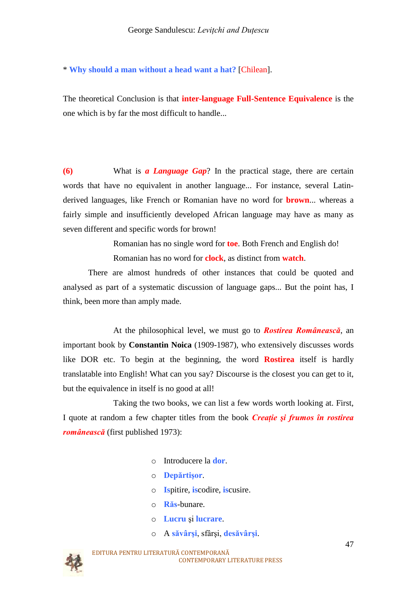\* **Why should a man without a head want a hat?** [Chilean].

The theoretical Conclusion is that **inter-language Full-Sentence Equivalence** is the one which is by far the most difficult to handle...

**(6)** What is *a Language Gap*? In the practical stage, there are certain words that have no equivalent in another language... For instance, several Latinderived languages, like French or Romanian have no word for **brown**... whereas a fairly simple and insufficiently developed African language may have as many as seven different and specific words for brown!

Romanian has no single word for **toe**. Both French and English do!

Romanian has no word for **clock**, as distinct from **watch**.

There are almost hundreds of other instances that could be quoted and analysed as part of a systematic discussion of language gaps... But the point has, I think, been more than amply made.

 At the philosophical level, we must go to *Rostirea Românească*, an important book by **Constantin Noica** (1909-1987), who extensively discusses words like DOR etc. To begin at the beginning, the word **Rostirea** itself is hardly translatable into English! What can you say? Discourse is the closest you can get to it, but the equivalence in itself is no good at all!

Taking the two books, we can list a few words worth looking at. First, I quote at random a few chapter titles from the book *Creaţie şi frumos în rostirea românească* (first published 1973):

- o Introducere la **dor**.
- o **Depărtişor**.
- o **Is**pitire, **is**codire, **is**cusire.
- o **Răs**-bunare.
- o **Lucru** şi **lucrare**.
- o A **săvârşi**, sfârşi, **desăvârşi**.

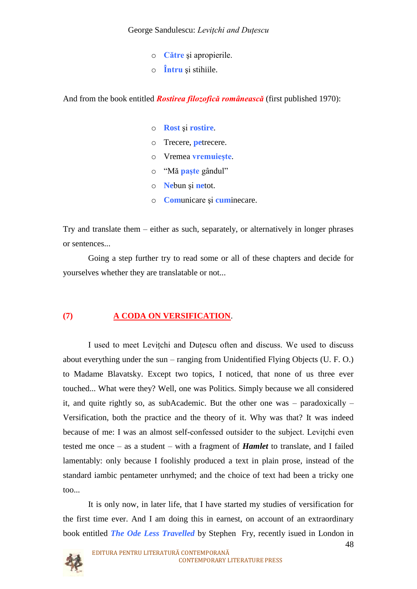- o **Către** şi apropierile.
- o **Întru** şi stihiile.

And from the book entitled *Rostirea filozofică românească* (first published 1970):

- o **Rost** şi **rostire**.
- o Trecere, **pe**trecere.
- o Vremea **vremuieşte**.
- o "Mă **paşte** gândul"
- o **Ne**bun şi **ne**tot.
- o **Com**unicare şi **cum**inecare.

Try and translate them – either as such, separately, or alternatively in longer phrases or sentences...

Going a step further try to read some or all of these chapters and decide for yourselves whether they are translatable or not...

## **(7) A CODA ON VERSIFICATION**.

I used to meet Leviţchi and Duţescu often and discuss. We used to discuss about everything under the sun – ranging from Unidentified Flying Objects (U. F. O.) to Madame Blavatsky. Except two topics, I noticed, that none of us three ever touched... What were they? Well, one was Politics. Simply because we all considered it, and quite rightly so, as subAcademic. But the other one was – paradoxically – Versification, both the practice and the theory of it. Why was that? It was indeed because of me: I was an almost self-confessed outsider to the subject. Leviţchi even tested me once – as a student – with a fragment of *Hamlet* to translate, and I failed lamentably: only because I foolishly produced a text in plain prose, instead of the standard iambic pentameter unrhymed; and the choice of text had been a tricky one too...

It is only now, in later life, that I have started my studies of versification for the first time ever. And I am doing this in earnest, on account of an extraordinary book entitled *The Ode Less Travelled* by Stephen Fry, recently isued in London in